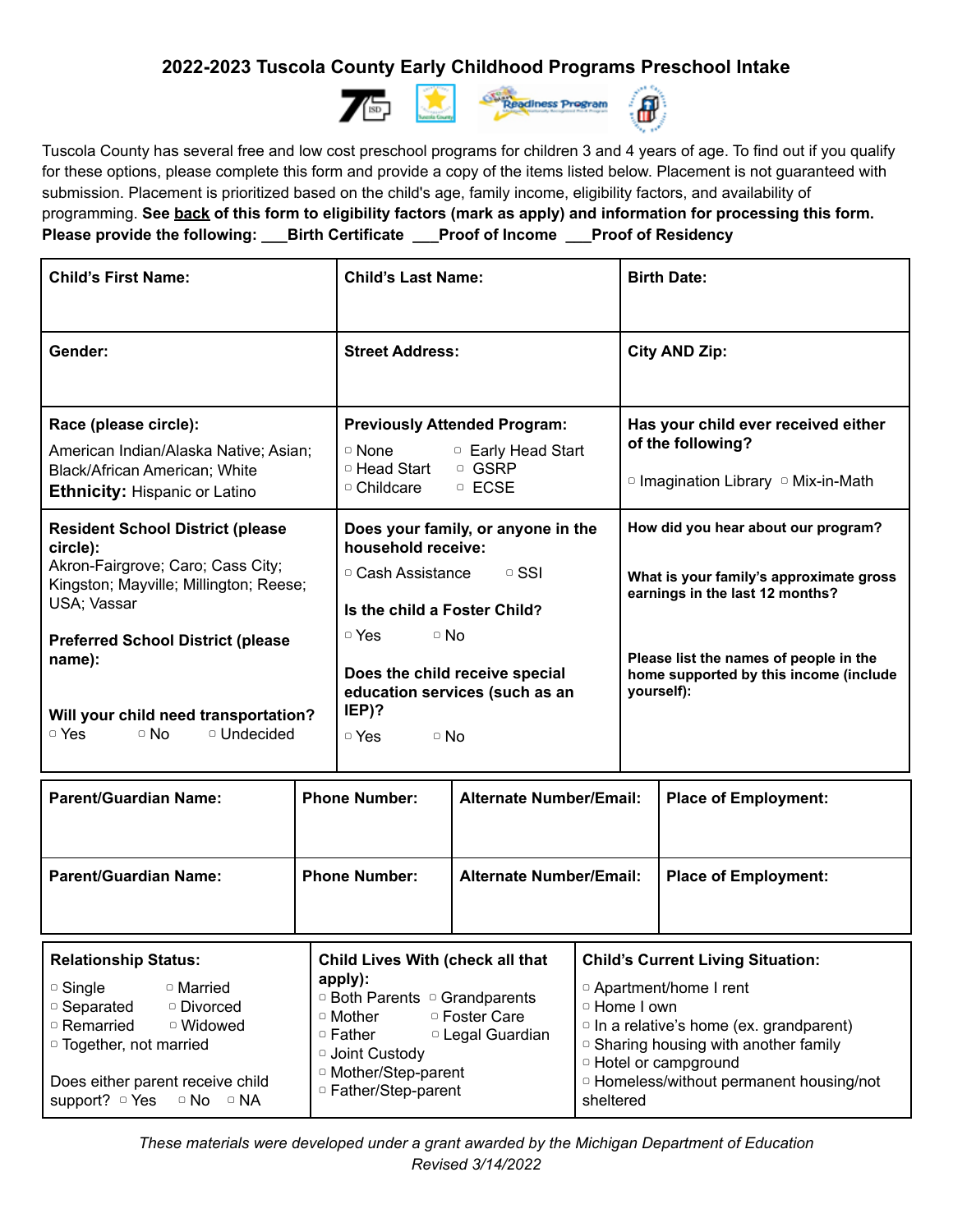## **2022-2023 Tuscola County Early Childhood Programs Preschool Intake**



Tuscola County has several free and low cost preschool programs for children 3 and 4 years of age. To find out if you qualify for these options, please complete this form and provide a copy of the items listed below. Placement is not guaranteed with submission. Placement is prioritized based on the child's age, family income, eligibility factors, and availability of programming. See back of this form to eligibility factors (mark as apply) and information for processing this form. **Please provide the following: \_\_\_Birth Certificate \_\_\_Proof of Income \_\_\_Proof of Residency**

| <b>Child's First Name:</b>                                                                                                                        | <b>Child's Last Name:</b>                                                                                                             | <b>Birth Date:</b>                                                                                                |
|---------------------------------------------------------------------------------------------------------------------------------------------------|---------------------------------------------------------------------------------------------------------------------------------------|-------------------------------------------------------------------------------------------------------------------|
| Gender:                                                                                                                                           | <b>Street Address:</b>                                                                                                                | <b>City AND Zip:</b>                                                                                              |
| Race (please circle):<br>American Indian/Alaska Native; Asian;<br>Black/African American; White                                                   | <b>Previously Attended Program:</b><br>$\circ$ None<br><b>D</b> Early Head Start<br><sup>o</sup> Head Start<br><sup>o</sup> GSRP      | Has your child ever received either<br>of the following?                                                          |
| <b>Ethnicity: Hispanic or Latino</b>                                                                                                              | $\circ$ ECSE<br>$\circ$ Childcare                                                                                                     | $\circ$ Imagination Library $\circ$ Mix-in-Math                                                                   |
| <b>Resident School District (please</b><br>circle):<br>Akron-Fairgrove; Caro; Cass City;<br>Kingston; Mayville; Millington; Reese;<br>USA; Vassar | Does your family, or anyone in the<br>household receive:<br>□ Cash Assistance<br>$\circ$ SSI<br>Is the child a Foster Child?          | How did you hear about our program?<br>What is your family's approximate gross<br>earnings in the last 12 months? |
| <b>Preferred School District (please</b><br>name):<br>Will your child need transportation?<br><sup>o</sup> Undecided<br>□ Yes<br>$\circ$ No       | $\circ$ Yes<br>$\circ$ No<br>Does the child receive special<br>education services (such as an<br>$IEP$ ?<br>$\circ$ Yes<br>$\circ$ No | Please list the names of people in the<br>home supported by this income (include<br>yourself):                    |
|                                                                                                                                                   |                                                                                                                                       |                                                                                                                   |

| <b>Parent/Guardian Name:</b> | <b>Phone Number:</b>             | <b>Alternate Number/Email:</b> | <b>Place of Employment:</b>      |
|------------------------------|----------------------------------|--------------------------------|----------------------------------|
| <b>Dolationship Statue:</b>  | Child Lives With (shook all that |                                | Child's Currant Living Situation |

| <b>Relationship Status:</b>                                                                                                                                                          | <b>Child Lives With (check all that</b>                                                                                                                                                                    | <b>Child's Current Living Situation:</b>                                                                                                                                                                                                 |
|--------------------------------------------------------------------------------------------------------------------------------------------------------------------------------------|------------------------------------------------------------------------------------------------------------------------------------------------------------------------------------------------------------|------------------------------------------------------------------------------------------------------------------------------------------------------------------------------------------------------------------------------------------|
| $\circ$ Single<br>□ Married<br>  □ Separated<br>□ Divorced<br><sup>o</sup> Remarried<br>□ Widowed<br>$\vert \circ \text{Together}$ , not married<br>Does either parent receive child | apply):<br>□ Both Parents □ Grandparents<br><sup>o</sup> Foster Care<br>$\circ$ Mother<br><sup>o</sup> Legal Guardian<br>$\circ$ Father<br>□ Joint Custody<br>□ Mother/Step-parent<br>□ Father/Step-parent | D Apartment/home I rent<br>□ Home I own<br>$\circ$ In a relative's home (ex. grandparent)<br><sup>o</sup> Sharing housing with another family<br><sup>o</sup> Hotel or campground<br><sup>o</sup> Homeless/without permanent housing/not |
| support? ○ Yes ○ No ○ NA                                                                                                                                                             |                                                                                                                                                                                                            | sheltered                                                                                                                                                                                                                                |

*These materials were developed under a grant awarded by the Michigan Department of Education Revised 3/14/2022*